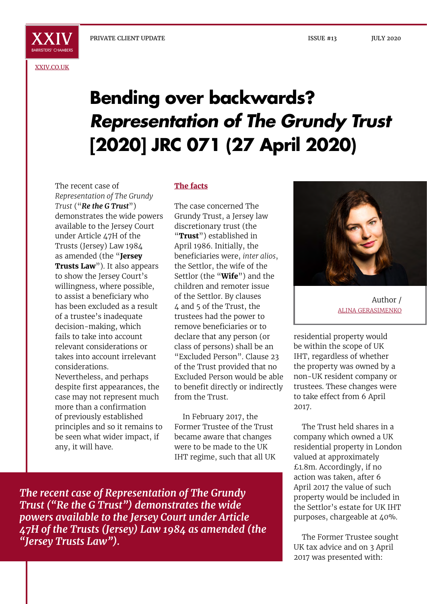# **Bending over backwards?**  *Representation of The Grundy Trust* **[2020] JRC 071 (27 April 2020)**

The recent case of *Representation of The Grundy Trust* ("*Re the G Trust*") demonstrates the wide powers available to the Jersey Court under Article 47H of the Trusts (Jersey) Law 1984 as amended (the "**Jersey Trusts Law**"). It also appears to show the Jersey Court's willingness, where possible, to assist a beneficiary who has been excluded as a result of a trustee's inadequate decision-making, which fails to take into account relevant considerations or takes into account irrelevant considerations. Nevertheless, and perhaps despite first appearances, the case may not represent much more than a confirmation of previously established principles and so it remains to be seen what wider impact, if any, it will have.

## **The facts**

The case concerned The Grundy Trust, a Jersey law discretionary trust (the "**Trust**") established in April 1986. Initially, the beneficiaries were, *inter alios*, the Settlor, the wife of the Settlor (the "**Wife**") and the children and remoter issue of the Settlor. By clauses 4 and 5 of the Trust, the trustees had the power to remove beneficiaries or to declare that any person (or class of persons) shall be an "Excluded Person". Clause 23 of the Trust provided that no Excluded Person would be able to benefit directly or indirectly from the Trust.

In February 2017, the Former Trustee of the Trust became aware that changes were to be made to the UK IHT regime, such that all UK

Author / ALINA GERASIMENKO

residential property would be within the scope of UK IHT, regardless of whether the property was owned by a non-UK resident company or trustees. These changes were to take effect from 6 April 2017.

The Trust held shares in a company which owned a UK residential property in London valued at approximately £1.8m. Accordingly, if no action was taken, after 6 April 2017 the value of such property would be included in the Settlor's estate for UK IHT purposes, chargeable at 40%.

The Former Trustee sought UK tax advice and on 3 April 2017 was presented with:

*The recent case of Representation of The Grundy Trust ("Re the G Trust") demonstrates the wide powers available to the Jersey Court under Article 47H of the Trusts (Jersey) Law 1984 as amended (the "Jersey Trusts Law").*

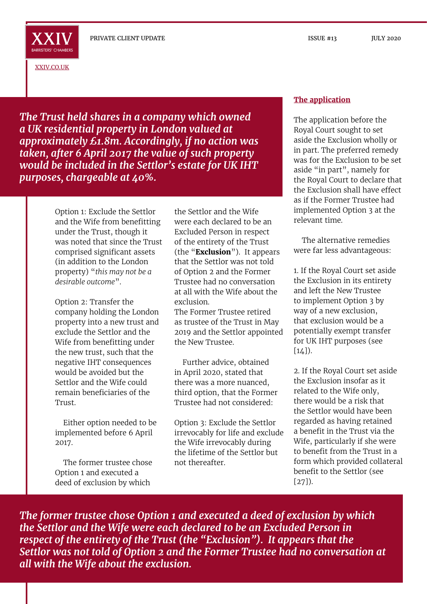

*The Trust held shares in a company which owned a UK residential property in London valued at approximately £1.8m. Accordingly, if no action was taken, after 6 April 2017 the value of such property would be included in the Settlor's estate for UK IHT purposes, chargeable at 40%.*

> Option 1: Exclude the Settlor and the Wife from benefitting under the Trust, though it was noted that since the Trust comprised significant assets (in addition to the London property) "*this may not be a desirable outcome*".

Option 2: Transfer the company holding the London property into a new trust and exclude the Settlor and the Wife from benefitting under the new trust, such that the negative IHT consequences would be avoided but the Settlor and the Wife could remain beneficiaries of the Trust.

Either option needed to be implemented before 6 April 2017.

The former trustee chose Option 1 and executed a deed of exclusion by which

the Settlor and the Wife were each declared to be an Excluded Person in respect of the entirety of the Trust (the "**Exclusion**"). It appears that the Settlor was not told of Option 2 and the Former Trustee had no conversation at all with the Wife about the exclusion.

The Former Trustee retired as trustee of the Trust in May 2019 and the Settlor appointed the New Trustee.

Further advice, obtained in April 2020, stated that there was a more nuanced, third option, that the Former Trustee had not considered:

Option 3: Exclude the Settlor irrevocably for life and exclude the Wife irrevocably during the lifetime of the Settlor but not thereafter.

# **The application**

The application before the Royal Court sought to set aside the Exclusion wholly or in part. The preferred remedy was for the Exclusion to be set aside "in part", namely for the Royal Court to declare that the Exclusion shall have effect as if the Former Trustee had implemented Option 3 at the relevant time.

The alternative remedies were far less advantageous:

1. If the Royal Court set aside the Exclusion in its entirety and left the New Trustee to implement Option 3 by way of a new exclusion, that exclusion would be a potentially exempt transfer for UK IHT purposes (see  $[14]$ ).

2. If the Royal Court set aside the Exclusion insofar as it related to the Wife only, there would be a risk that the Settlor would have been regarded as having retained a benefit in the Trust via the Wife, particularly if she were to benefit from the Trust in a form which provided collateral benefit to the Settlor (see  $[27]$ ).

*The former trustee chose Option 1 and executed a deed of exclusion by which the Settlor and the Wife were each declared to be an Excluded Person in respect of the entirety of the Trust (the "Exclusion"). It appears that the Settlor was not told of Option 2 and the Former Trustee had no conversation at all with the Wife about the exclusion.*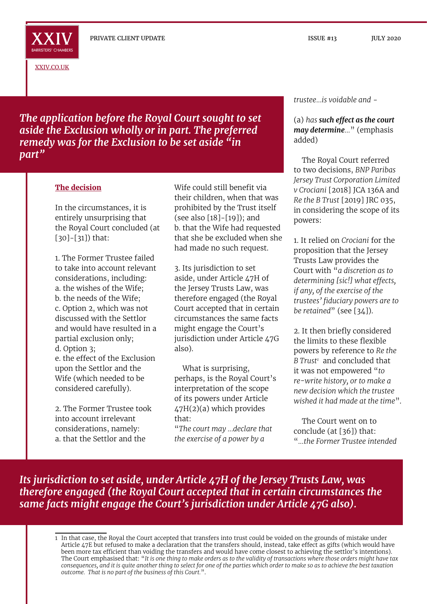

*The application before the Royal Court sought to set aside the Exclusion wholly or in part. The preferred remedy was for the Exclusion to be set aside "in part"*

#### **The decision**

In the circumstances, it is entirely unsurprising that the Royal Court concluded (at [30]-[31]) that:

1. The Former Trustee failed to take into account relevant considerations, including: a. the wishes of the Wife; b. the needs of the Wife; c. Option 2, which was not discussed with the Settlor and would have resulted in a partial exclusion only; d. Option 3; e. the effect of the Exclusion upon the Settlor and the Wife (which needed to be

2. The Former Trustee took into account irrelevant considerations, namely: a. that the Settlor and the

considered carefully).

Wife could still benefit via their children, when that was prohibited by the Trust itself (see also [18]-[19]); and b. that the Wife had requested that she be excluded when she had made no such request.

3. Its jurisdiction to set aside, under Article 47H of the Jersey Trusts Law, was therefore engaged (the Royal Court accepted that in certain circumstances the same facts might engage the Court's jurisdiction under Article 47G also).

What is surprising, perhaps, is the Royal Court's interpretation of the scope of its powers under Article 47H(2)(a) which provides that:

"*The court may ...declare that the exercise of a power by a* 

*trustee...is voidable and* -

## (a) *has such effect as the court may determine...*" (emphasis added)

The Royal Court referred to two decisions, *BNP Paribas Jersey Trust Corporation Limited v Crociani* [2018] JCA 136A and *Re the B Trust* [2019] JRC 035, in considering the scope of its powers:

1. It relied on *Crociani* for the proposition that the Jersey Trusts Law provides the Court with "*a discretion as to determining [sic!] what effects, if any, of the exercise of the trustees' fiduciary powers are to be retained*" (see [34]).

2. It then briefly considered the limits to these flexible powers by reference to *Re the B Trust<sup>1</sup>* and concluded that it was not empowered "*to re-write history, or to make a new decision which the trustee wished it had made at the time*".

The Court went on to conclude (at [36]) that: "*...the Former Trustee intended* 

*Its jurisdiction to set aside, under Article 47H of the Jersey Trusts Law, was therefore engaged (the Royal Court accepted that in certain circumstances the same facts might engage the Court's jurisdiction under Article 47G also).*

1 In that case, the Royal the Court accepted that transfers into trust could be voided on the grounds of mistake under Article 47E but refused to make a declaration that the transfers should, instead, take effect as gifts (which would have been more tax efficient than voiding the transfers and would have come closest to achieving the settlor's intentions). The Court emphasised that: "*It is one thing to make orders as to the validity of transactions where those orders might have tax consequences, and it is quite another thing to select for one of the parties which order to make so as to achieve the best taxation outcome. That is no part of the business of this Court.*".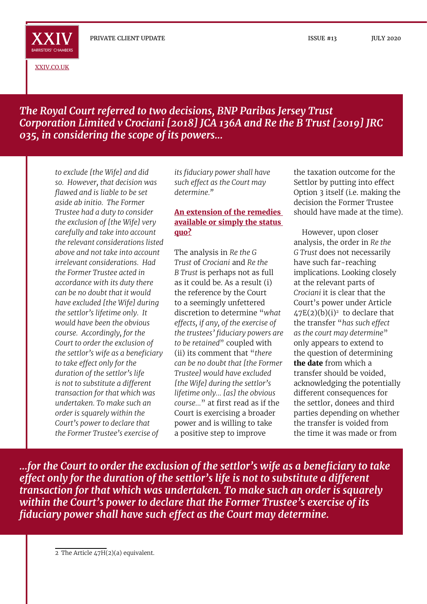

# *The Royal Court referred to two decisions, BNP Paribas Jersey Trust Corporation Limited v Crociani [2018] JCA 136A and Re the B Trust [2019] JRC 035, in considering the scope of its powers...*

*to exclude [the Wife] and did so. However, that decision was flawed and is liable to be set aside ab initio. The Former Trustee had a duty to consider the exclusion of [the Wife] very carefully and take into account the relevant considerations listed above and not take into account irrelevant considerations. Had the Former Trustee acted in accordance with its duty there can be no doubt that it would have excluded [the Wife] during the settlor's lifetime only. It would have been the obvious course. Accordingly, for the Court to order the exclusion of the settlor's wife as a beneficiary to take effect only for the duration of the settlor's life is not to substitute a different transaction for that which was undertaken. To make such an order is squarely within the Court's power to declare that the Former Trustee's exercise of* 

*its fiduciary power shall have such effect as the Court may determine."*

## **An extension of the remedies available or simply the status quo?**

The analysis in *Re the G Trust* of *Crociani* and *Re the B Trust* is perhaps not as full as it could be. As a result (i) the reference by the Court to a seemingly unfettered discretion to determine "*what effects, if any, of the exercise of the trustees' fiduciary powers are to be retained*" coupled with (ii) its comment that "*there can be no doubt that [the Former Trustee] would have excluded [the Wife] during the settlor's lifetime only... [as] the obvious course...*" at first read as if the Court is exercising a broader power and is willing to take a positive step to improve

the taxation outcome for the Settlor by putting into effect Option 3 itself (i.e. making the decision the Former Trustee should have made at the time).

However, upon closer analysis, the order in *Re the G Trust* does not necessarily have such far-reaching implications. Looking closely at the relevant parts of *Crociani* it is clear that the Court's power under Article  $47E(2)(b)(i)<sup>2</sup>$  to declare that the transfer "*has such effect as the court may determine*" only appears to extend to the question of determining **the date** from which a transfer should be voided, acknowledging the potentially different consequences for the settlor, donees and third parties depending on whether the transfer is voided from the time it was made or from

*...for the Court to order the exclusion of the settlor's wife as a beneficiary to take effect only for the duration of the settlor's life is not to substitute a different transaction for that which was undertaken. To make such an order is squarely within the Court's power to declare that the Former Trustee's exercise of its fiduciary power shall have such effect as the Court may determine.*